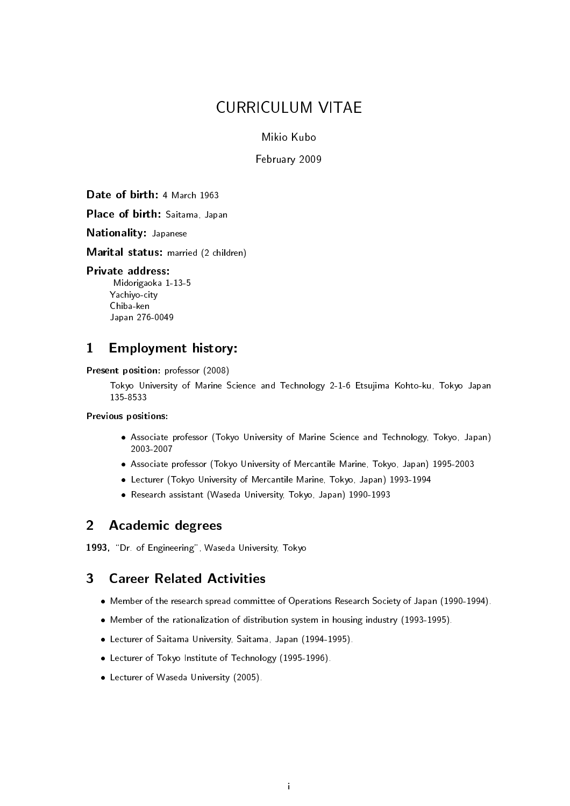# **CURRICULUM VITAE**

# Mikio Kubo

# February 2009

Date of birth: 4 March 1963

Place of birth: Saitama, Japan

**Nationality: Japanese** 

Marital status: married (2 children)

# **Private address:**

Midorigaoka 1-13-5 Yachiyo-city Chiba-ken Japan 276-0049

### $\blacksquare$ **Employment history:**

Present position: professor (2008)

Tokyo University of Marine Science and Technology 2-1-6 Etsujima Kohto-ku, Tokyo Japan 135-8533

# Previous positions:

- Associate professor (Tokyo University of Marine Science and Technology, Tokyo, Japan) 2003-2007
- Associate professor (Tokyo University of Mercantile Marine, Tokyo, Japan) 1995-2003
- Lecturer (Tokyo University of Mercantile Marine, Tokyo, Japan) 1993-1994
- Research assistant (Waseda University, Tokyo, Japan) 1990-1993

#### $\overline{2}$ **Academic degrees**

1993, "Dr. of Engineering", Waseda University, Tokyo

### $\mathbf{3}$ **Career Related Activities**

- Member of the research spread committee of Operations Research Society of Japan (1990-1994).
- Member of the rationalization of distribution system in housing industry (1993-1995).
- Lecturer of Saitama University, Saitama, Japan (1994-1995).
- Lecturer of Tokyo Institute of Technology (1995-1996).
- Lecturer of Waseda University (2005).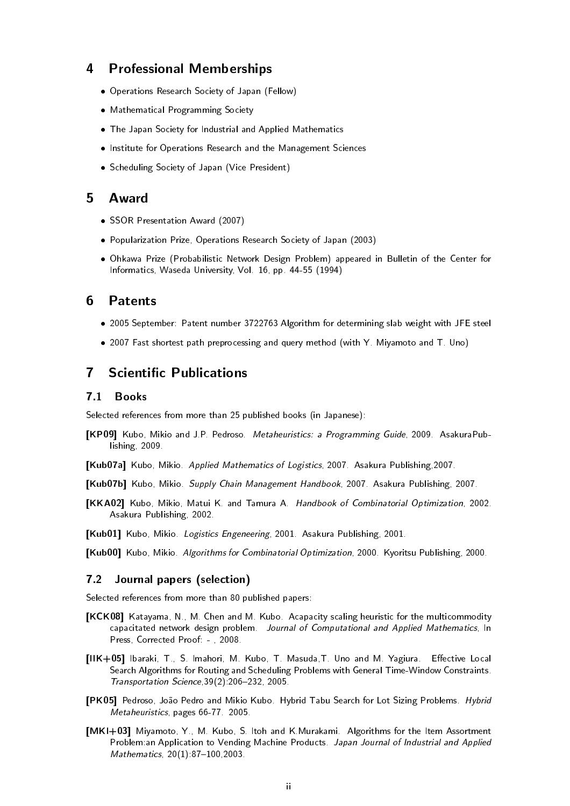#### 4 **Professional Memberships**

- Operations Research Society of Japan (Fellow)
- Mathematical Programming Society
- The Japan Society for Industrial and Applied Mathematics
- . Institute for Operations Research and the Management Sciences
- Scheduling Society of Japan (Vice President)

#### 5 Award

- SSOR Presentation Award (2007)
- Popularization Prize, Operations Research Society of Japan (2003)
- . Ohkawa Prize (Probabilistic Network Design Problem) appeared in Bulletin of the Center for Informatics, Waseda University, Vol. 16, pp. 44-55 (1994)

#### 6 **Patents**

- . 2005 September: Patent number 3722763 Algorithm for determining slab weight with JFE steel
- . 2007 Fast shortest path preprocessing and query method (with Y. Miyamoto and T. Uno)

### **Scientific Publications**  $\overline{\mathbf{7}}$

#### $7.1$ **Books**

Selected references from more than 25 published books (in Japanese):

- [KP09] Kubo, Mikio and J.P. Pedroso. Metaheuristics: a Programming Guide, 2009. AsakuraPublishing, 2009.
- [Kub07a] Kubo, Mikio. Applied Mathematics of Logistics, 2007. Asakura Publishing, 2007.
- [Kub07b] Kubo, Mikio. Supply Chain Management Handbook, 2007. Asakura Publishing, 2007.
- [KKA02] Kubo, Mikio, Matui K. and Tamura A. Handbook of Combinatorial Optimization, 2002. Asakura Publishing, 2002.
- [Kub01] Kubo, Mikio. Logistics Engeneering, 2001. Asakura Publishing, 2001.

[Kub00] Kubo, Mikio. Algorithms for Combinatorial Optimization, 2000. Kyoritsu Publishing, 2000.

#### $7.2$ Journal papers (selection)

Selected references from more than 80 published papers:

- [KCK08] Katayama, N., M. Chen and M. Kubo. Acapacity scaling heuristic for the multicommodity capacitated network design problem. Journal of Computational and Applied Mathematics, In Press, Corrected Proof: -, 2008.
- [IIK+05] Ibaraki, T., S. Imahori, M. Kubo, T. Masuda, T. Uno and M. Yagiura. Effective Local Search Algorithms for Routing and Scheduling Problems with General Time-Window Constraints. Transportation Science, 39(2): 206-232, 2005.
- [PK05] Pedroso, João Pedro and Mikio Kubo. Hybrid Tabu Search for Lot Sizing Problems. Hybrid Metaheuristics, pages 66-77 2005.
- [MKI+03] Miyamoto, Y., M. Kubo, S. Itoh and K.Murakami. Algorithms for the Item Assortment Problem:an Application to Vending Machine Products. Japan Journal of Industrial and Applied Mathematics, 20(1) 87-100, 2003.